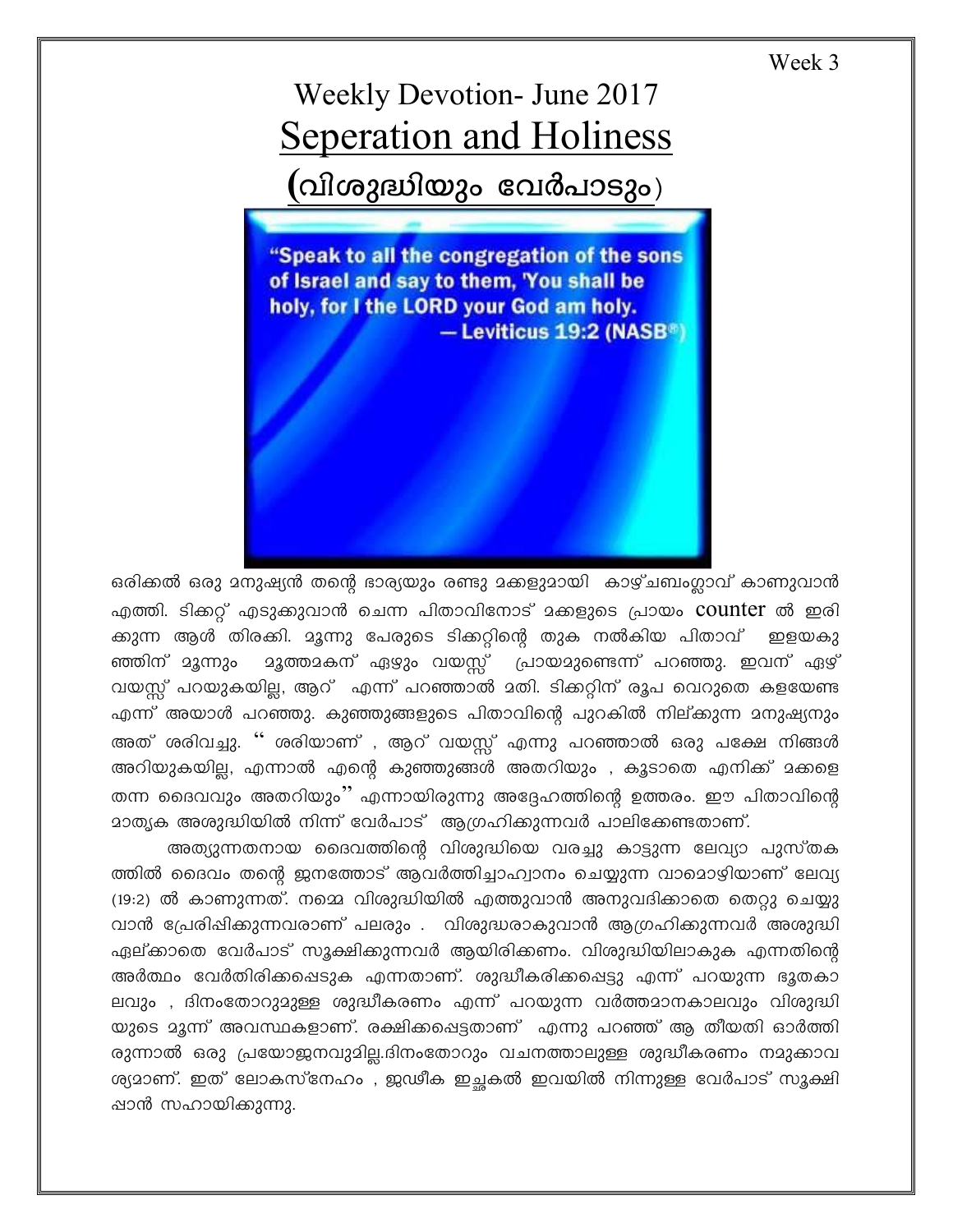Week 3

## **Weekly Devotion- June 2017 Seperation and Holiness** (വിശുദ്ധിയും വേർപാടും)

"Speak to all the congregation of the sons of Israel and say to them, 'You shall be holy, for I the LORD your God am holy. - Leviticus 19:2 (NASB<sup>®</sup>)

ഒരിക്കൽ ഒരു മനുഷ്യൻ തന്റെ ഭാര്യയും രണ്ടു മക്കളുമായി കാഴ്ചബംഗ്ലാവ് കാണുവാൻ എത്തി. ടിക്കറ്റ് എടുക്കുവാൻ ചെന്ന പിതാവിനോട് മക്കളുടെ പ്രായം counter ൽ ഇരി ക്കുന്ന ആൾ തിരക്കി. മൂന്നു പേരുടെ ടിക്കറ്റിന്റെ തുക നൽകിയ പിതാവ് ഇളയകു <u>ാ</u>ദുത്തമകന് ഏഴും വയസ്സ് പ്രായമുണ്ടെന്ന് പറഞ്ഞു. ഇവന് ഏഴ് ഞ്ഞിന് മൂന്നും വയസ്സ് പറയുകയില്ല, ആറ് എന്ന് പറഞ്ഞാൽ മതി. ടിക്കറ്റിന് രൂപ വെറുതെ കളയേണ്ട എന്ന് അയാൾ പറഞ്ഞു. കുഞ്ഞുങ്ങളുടെ പിതാവിന്റെ പുറകിൽ നില്ക്കുന്ന മനുഷ്യനും അത് ശരിവച്ചു. '' ശരിയാണ് , ആറ് വയസ്സ് എന്നു പറഞ്ഞാൽ ഒരു പക്ഷേ നിങ്ങൾ അറിയുകയില്ല, എന്നാൽ എന്റെ കുഞ്ഞുങ്ങൾ അതറിയും , കൂടാതെ എനിക്ക് മക്കളെ തന്ന ദൈവവും അതറിയും'' എന്നായിരുന്നു അദ്ദേഹത്തിന്റെ ഉത്തരം. ഈ പിതാവിന്റെ <u>മാതൃക അശുദ്ധിയിൽ നിന്ന് വേർപാട് ആഗ്രഹിക്കുന്നവർ പാലിക്കേണ്ടതാണ്.</u>

അത്യുന്നതനായ ദൈവത്തിന്റെ വിശുദ്ധിയെ വരച്ചു കാട്ടുന്ന ലേവ്യാ പുസ്തക ത്തിൽ ദൈവം തന്റെ ജനത്തോട് ആവർത്തിച്ചാഹ്വാനം ചെയ്യുന്ന വാമൊഴിയാണ് ലേവ്യ (19:2) ൽ കാണുന്നത്. നമ്മെ വിശുദ്ധിയിൽ എത്തുവാൻ അനുവദിക്കാതെ തെറ്റു ചെയ്യു വാൻ പ്രേരിഷിക്കുന്നവരാണ് പലരും . വിശുദ്ധരാകുവാൻ ആഗ്രഹിക്കുന്നവർ അശുദ്ധി ഏല്ക്കാതെ വേർപാട് സൂക്ഷിക്കുന്നവർ ആയിരിക്കണം. വിശുദ്ധിയിലാകുക എന്നതിന്റെ അർത്ഥം വേർതിരിക്കപ്പെടുക എന്നതാണ്. ശുദ്ധീകരിക്കപ്പെട്ടു എന്ന് പറയുന്ന ഭൂതകാ ലവും , ദിനംതോറുമുള്ള ശുദ്ധീകരണം എന്ന് പറയുന്ന വർത്തമാനകാലവും വിശുദ്ധി യുടെ മൂന്ന് അവസ്ഥകളാണ്. രക്ഷിക്കപ്പെട്ടതാണ് എന്നു പറഞ്ഞ് ആ തീയതി ഓർത്തി രുന്നാൽ ഒരു പ്രയോജനവുമില്ല.ദിനംതോറും വചനത്താലുള്ള ശുദ്ധീകരണം നമുക്കാവ ശ്യമാണ്. ഇത് ലോകസ്നേഹം , ജഢീക ഇചകൽ ഇവയിൽ നിന്നുള്ള വേർപാട് സൂക്ഷി ഷാൻ സഹായിക്കുന്നു.